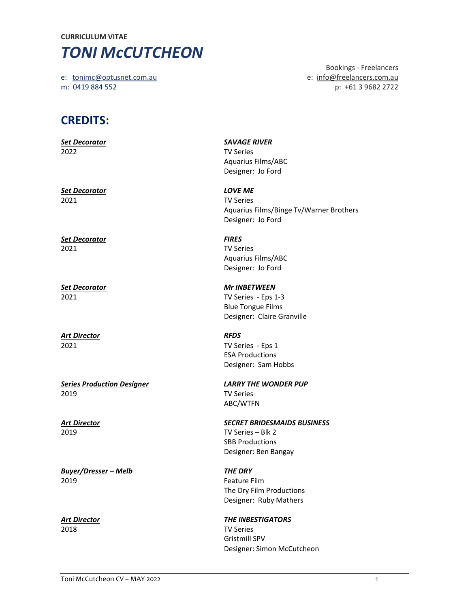## CURRICULUM VITAE **TONI McCUTCHEON**

m: 0419 884 552 p: +61 3 9682 2722

 Bookings - Freelancers e: tonimc@optusnet.com.au e: info@freelancers.com.au

## CREDITS:

| <b>Set Decorator</b>              | <b>SAVAGE RIVER</b>                     |
|-----------------------------------|-----------------------------------------|
| 2022                              | <b>TV Series</b>                        |
|                                   | <b>Aquarius Films/ABC</b>               |
|                                   | Designer: Jo Ford                       |
| <b>Set Decorator</b>              | <b>LOVE ME</b>                          |
| 2021                              | <b>TV Series</b>                        |
|                                   | Aquarius Films/Binge Tv/Warner Brothers |
|                                   | Designer: Jo Ford                       |
| <b>Set Decorator</b>              | <b>FIRES</b>                            |
| 2021                              | <b>TV Series</b>                        |
|                                   | Aquarius Films/ABC                      |
|                                   | Designer: Jo Ford                       |
| <b>Set Decorator</b>              | <b>Mr INBETWEEN</b>                     |
| 2021                              | TV Series - Eps 1-3                     |
|                                   | <b>Blue Tongue Films</b>                |
|                                   | Designer: Claire Granville              |
| <b>Art Director</b>               | <b>RFDS</b>                             |
| 2021                              | TV Series - Eps 1                       |
|                                   | <b>ESA Productions</b>                  |
|                                   | Designer: Sam Hobbs                     |
| <b>Series Production Designer</b> | <b>LARRY THE WONDER PUP</b>             |
| 2019                              | <b>TV Series</b>                        |
|                                   | ABC/WTFN                                |
| <b>Art Director</b>               | <b>SECRET BRIDESMAIDS BUSINESS</b>      |
| 2019                              | TV Series - Blk 2                       |
|                                   | <b>SBB Productions</b>                  |
|                                   | Designer: Ben Bangay                    |
| <b>Buyer/Dresser - Melb</b>       | <b>THE DRY</b>                          |
| 2019                              | Feature Film                            |
|                                   | The Dry Film Productions                |
|                                   | Designer: Ruby Mathers                  |
| <b>Art Director</b>               | <b>THE INBESTIGATORS</b>                |
| 2018                              | <b>TV Series</b>                        |
|                                   | Gristmill SPV                           |

Designer: Simon McCutcheon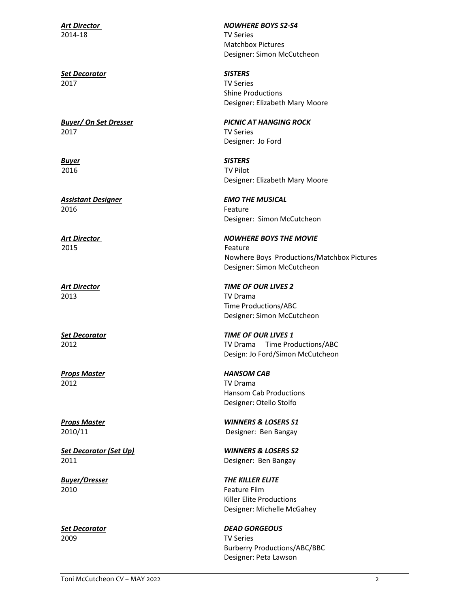2014-18 TV Series

Set Decorator SISTERS 2017 TV Series

2017 TV Series

2016 **Feature Feature** 

2015 Feature

2013 TV Drama

Props Master **HANSOM CAB** 2012 TV Drama

2011 Designer: Ben Bangay

2010 **Feature Film** 

2009 TV Series

Art Director NOWHERE BOYS S2-S4 Matchbox Pictures Designer: Simon McCutcheon

> Shine Productions Designer: Elizabeth Mary Moore

Buyer/ On Set Dresser **Figure 2018** PICNIC AT HANGING ROCK Designer: Jo Ford

**Buyer** SISTERS 2016 TV Pilot Designer: Elizabeth Mary Moore

Assistant Designer **EMO THE MUSICAL** Designer: Simon McCutcheon

Art Director NOWHERE BOYS THE MOVIE Nowhere Boys Productions/Matchbox Pictures Designer: Simon McCutcheon

Art Director **TIME OF OUR LIVES 2**  Time Productions/ABC Designer: Simon McCutcheon

Set Decorator **TIME OF OUR LIVES 1** 2012 TV Drama Time Productions/ABC Design: Jo Ford/Simon McCutcheon

> Hansom Cab Productions Designer: Otello Stolfo

Props Master WINNERS & LOSERS S1 2010/11 Designer: Ben Bangay

Set Decorator (Set Up) WINNERS & LOSERS S2

Buyer/Dresser THE KILLER ELITE Killer Elite Productions Designer: Michelle McGahey

Set Decorator and DEAD GORGEOUS Burberry Productions/ABC/BBC Designer: Peta Lawson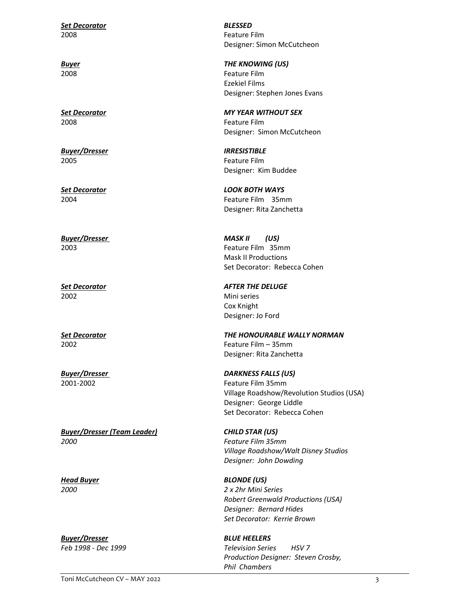Set Decorator and BLESSED 2008 Feature Film

2008 Feature Film

Buyer/Dresser **IRRESISTIBLE** 2005 Feature Film

2002 Mini series

Buyer/Dresser (Team Leader) CHILD STAR (US) 2000 Feature Film 35mm

Buyer/Dresser BLUE HEELERS

Designer: Simon McCutcheon

Buyer **Buyer Buyer Buyer Buyer Example 2 THE KNOWING (US)** 2008 Feature Film Ezekiel Films Designer: Stephen Jones Evans

Set Decorator and MY YEAR WITHOUT SEX Designer: Simon McCutcheon

Designer: Kim Buddee

Set Decorator and the contract of the LOOK BOTH WAYS 2004 Feature Film 35mm Designer: Rita Zanchetta

Buyer/Dresser MASK II (US) 2003 Feature Film 35mm Mask II Productions Set Decorator: Rebecca Cohen

Set Decorator AFTER THE DELUGE Cox Knight Designer: Jo Ford

Set Decorator THE HONOURABLE WALLY NORMAN 2002 Feature Film – 35mm Designer: Rita Zanchetta

Buyer/Dresser **DARKNESS FALLS** (US) 2001-2002 Feature Film 35mm Village Roadshow/Revolution Studios (USA) Designer: George Liddle Set Decorator: Rebecca Cohen

> Village Roadshow/Walt Disney Studios Designer: John Dowding

Head Buyer BLONDE (US) 2000 2 x 2hr Mini Series Robert Greenwald Productions (USA) Designer: Bernard Hides Set Decorator: Kerrie Brown

Feb 1998 - Dec 1999 **Television Series** HSV 7 Production Designer: Steven Crosby, Phil Chambers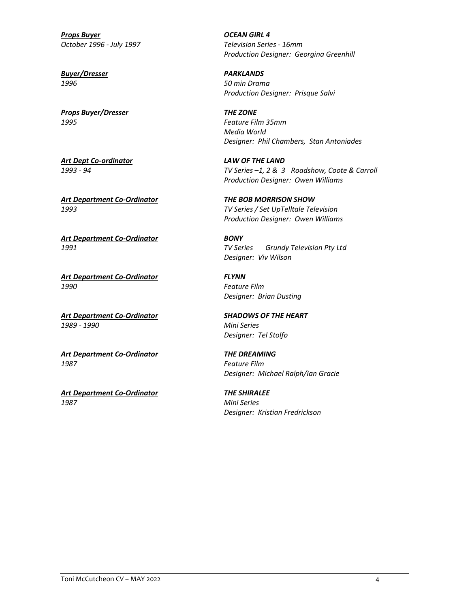Props Buyer **DEAN GIRL 4** October 1996 - July 1997 **Television Series - 16mm** 

Buyer/Dresser PARKLANDS

**Props Buyer/Dresser Community Community Community Props Buyer/Dresser** 1995 Feature Film 35mm

Art Dept Co-ordinator Carried Care LAW OF THE LAND

Art Department Co-Ordinator THE BOB MORRISON SHOW

Art Department Co-Ordinator **BONY** 

Art Department Co-Ordinator FLYNN 1990 Feature Film

Art Department Co-Ordinator SHADOWS OF THE HEART 1989 - 1990 Mini Series

Art Department Co-Ordinator THE DREAMING 1987 Feature Film

Art Department Co-Ordinator THE SHIRALEE 1987 Mini Series

Production Designer: Georgina Greenhill

1996 50 min Drama Production Designer: Prisque Salvi

> Media World Designer: Phil Chambers, Stan Antoniades

1993 - 94 TV Series –1, 2 & 3 Roadshow, Coote & Carroll Production Designer: Owen Williams

1993 TV Series / Set UpTelltale Television Production Designer: Owen Williams

1991 TV Series Grundy Television Pty Ltd Designer: Viv Wilson

Designer: Brian Dusting

Designer: Tel Stolfo

Designer: Michael Ralph/Ian Gracie

Designer: Kristian Fredrickson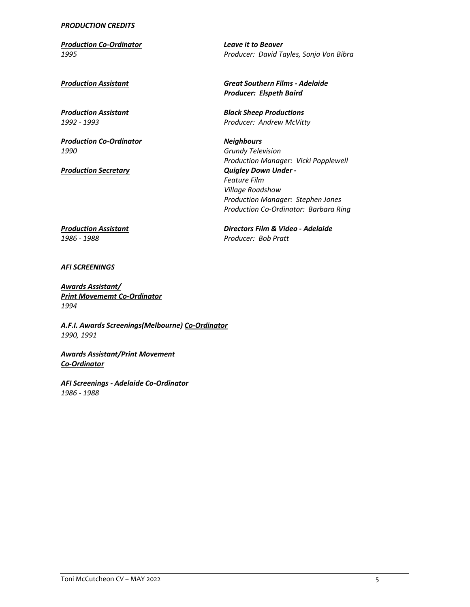## PRODUCTION CREDITS

Production Co-Ordinator Leave it to Beaver

**Production Co-Ordinator** Neighbours 1990 Grundy Television

1995 Producer: David Tayles, Sonja Von Bibra

Production Assistant **Production Assistant** Great Southern Films - Adelaide Producer: Elspeth Baird

**Production Assistant Community Community Community** Black Sheep Productions 1992 - 1993 Producer: Andrew McVitty

 Production Manager: Vicki Popplewell **Production Secretary Contract Contract Contract Contract Contract Contract Contract Contract Contract Contract Contract Contract Contract Contract Contract Contract Contract Contract Contract Contract Contract Contract Co** Feature Film Village Roadshow Production Manager: Stephen Jones Production Co-Ordinator: Barbara Ring

Production Assistant **Directors Film & Video - Adelaide** 1986 - 1988 Producer: Bob Pratt

AFI SCREENINGS

Awards Assistant/ Print Movememt Co-Ordinator 1994

A.F.I. Awards Screenings(Melbourne) Co-Ordinator 1990, 1991

Awards Assistant/Print Movement Co-Ordinator

AFI Screenings - Adelaide Co-Ordinator 1986 - 1988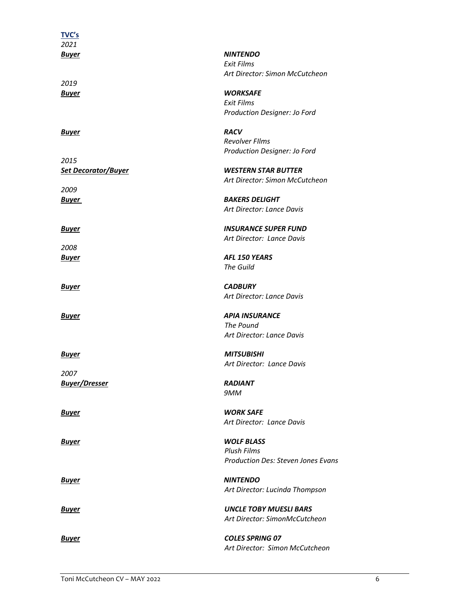| <u>TVC's</u>                       |                                      |
|------------------------------------|--------------------------------------|
| 2021<br><u>Buyer</u>               | <b>NINTENDO</b>                      |
|                                    | <b>Exit Films</b>                    |
|                                    | Art Director: Simon McCutcheon       |
| 2019                               |                                      |
| <u>Buyer</u>                       | <b>WORKSAFE</b><br><b>Exit Films</b> |
|                                    | Production Designer: Jo Ford         |
| <u>Buyer</u>                       | <b>RACV</b>                          |
|                                    | <b>Revolver Films</b>                |
|                                    | Production Designer: Jo Ford         |
| 2015<br><u>Set Decorator/Buyer</u> | <b>WESTERN STAR BUTTER</b>           |
|                                    | Art Director: Simon McCutcheon       |
| 2009                               |                                      |
| Buyer                              | <b>BAKERS DELIGHT</b>                |
|                                    | Art Director: Lance Davis            |
| <u>Buyer</u>                       | <b>INSURANCE SUPER FUND</b>          |
|                                    | Art Director: Lance Davis            |
| 2008<br><u>Buyer</u>               | AFL 150 YEARS                        |
|                                    | The Guild                            |
| <u>Buyer</u>                       | <b>CADBURY</b>                       |
|                                    | Art Director: Lance Davis            |
| Buyer                              | <b>APIA INSURANCE</b>                |
|                                    | The Pound                            |
|                                    | Art Director: Lance Davis            |
| <u>Buyer</u>                       | <b>MITSUBISHI</b>                    |
|                                    | Art Director: Lance Davis            |
| 2007                               |                                      |
| Buyer/Dresser                      | <b>RADIANT</b>                       |
|                                    | 9MM                                  |
| <u>Buyer</u>                       | <b>WORK SAFE</b>                     |
|                                    | Art Director: Lance Davis            |
| <u>Buyer</u>                       | <b>WOLF BLASS</b>                    |
|                                    | <b>Plush Films</b>                   |
|                                    | Production Des: Steven Jones Evans   |
| <u>Buyer</u>                       | <b>NINTENDO</b>                      |
|                                    | Art Director: Lucinda Thompson       |
|                                    |                                      |
| Buyer                              | <b>UNCLE TOBY MUESLI BARS</b>        |
|                                    | Art Director: SimonMcCutcheon        |
| Buyer                              | <b>COLES SPRING 07</b>               |
|                                    | Art Director: Simon McCutcheon       |